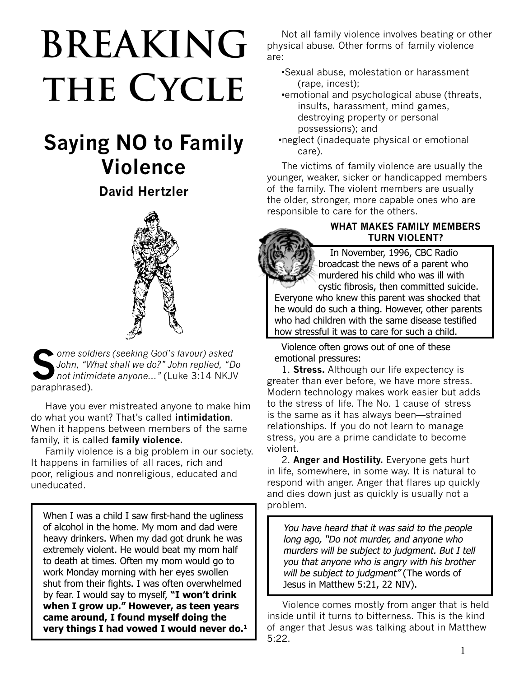# **BREAKING** THE CYCLE

# **Saying NO to Family Violence**

# **David Hertzler**



**S***ome soldiers (seeking God's favour) asked John, "What shall we do?" John replied, "Do not intimidate anyone..."* (Luke 3:14 NKJV paraphrased).

Have you ever mistreated anyone to make him do what you want? That's called **intimidation**. When it happens between members of the same family, it is called **family violence.**

Family violence is a big problem in our society. It happens in families of all races, rich and poor, religious and nonreligious, educated and uneducated.

When I was a child I saw first-hand the ugliness of alcohol in the home. My mom and dad were heavy drinkers. When my dad got drunk he was extremely violent. He would beat my mom half to death at times. Often my mom would go to work Monday morning with her eyes swollen shut from their fights. I was often overwhelmed by fear. I would say to myself, **"I won't drink when I grow up." However, as teen years came around, I found myself doing the very things I had vowed I would never do.1**

Not all family violence involves beating or other physical abuse. Other forms of family violence are:

- •Sexual abuse, molestation or harassment (rape, incest);
- •emotional and psychological abuse (threats, insults, harassment, mind games, destroying property or personal possessions); and
- •neglect (inadequate physical or emotional care).

The victims of family violence are usually the younger, weaker, sicker or handicapped members of the family. The violent members are usually the older, stronger, more capable ones who are responsible to care for the others.

#### **WHAT MAKES FAMILY MEMBERS TURN VIOLENT?**

 In November, 1996, CBC Radio broadcast the news of a parent who murdered his child who was ill with cystic fibrosis, then committed suicide.

Everyone who knew this parent was shocked that he would do such a thing. However, other parents who had children with the same disease testified how stressful it was to care for such a child.

Violence often grows out of one of these emotional pressures:

1. **Stress.** Although our life expectency is greater than ever before, we have more stress. Modern technology makes work easier but adds to the stress of life. The No. 1 cause of stress is the same as it has always been—strained relationships. If you do not learn to manage stress, you are a prime candidate to become violent.

2. **Anger and Hostility.** Everyone gets hurt in life, somewhere, in some way. It is natural to respond with anger. Anger that flares up quickly and dies down just as quickly is usually not a problem.

You have heard that it was said to the people long ago, "Do not murder, and anyone who murders will be subject to judgment. But I tell you that anyone who is angry with his brother will be subject to judgment" (The words of Jesus in Matthew 5:21, 22 NIV).

 Violence comes mostly from anger that is held inside until it turns to bitterness. This is the kind of anger that Jesus was talking about in Matthew 5:22.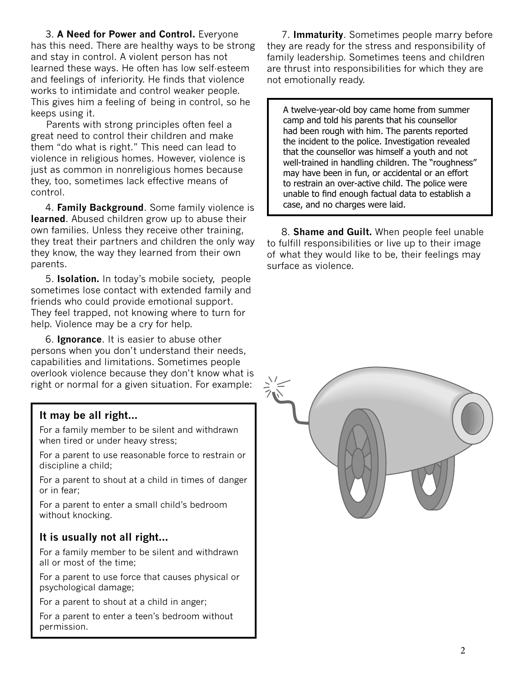3. **A Need for Power and Control.** Everyone has this need. There are healthy ways to be strong and stay in control. A violent person has not learned these ways. He often has low self-esteem and feelings of inferiority. He finds that violence works to intimidate and control weaker people. This gives him a feeling of being in control, so he keeps using it.

 Parents with strong principles often feel a great need to control their children and make them "do what is right." This need can lead to violence in religious homes. However, violence is just as common in nonreligious homes because they, too, sometimes lack effective means of control.

4. **Family Background**. Some family violence is **learned**. Abused children grow up to abuse their own families. Unless they receive other training, they treat their partners and children the only way they know, the way they learned from their own parents.

5. **Isolation.** In today's mobile society, people sometimes lose contact with extended family and friends who could provide emotional support. They feel trapped, not knowing where to turn for help. Violence may be a cry for help.

6. **Ignorance**. It is easier to abuse other persons when you don't understand their needs, capabilities and limitations. Sometimes people overlook violence because they don't know what is right or normal for a given situation. For example:

# **It may be all right...**

For a family member to be silent and withdrawn when tired or under heavy stress;

For a parent to use reasonable force to restrain or discipline a child;

For a parent to shout at a child in times of danger or in fear;

For a parent to enter a small child's bedroom without knocking.

# **It is usually not all right...**

For a family member to be silent and withdrawn all or most of the time;

For a parent to use force that causes physical or psychological damage;

For a parent to shout at a child in anger;

For a parent to enter a teen's bedroom without permission.

7. **Immaturity**. Sometimes people marry before they are ready for the stress and responsibility of family leadership. Sometimes teens and children are thrust into responsibilities for which they are not emotionally ready.

A twelve-year-old boy came home from summer camp and told his parents that his counsellor had been rough with him. The parents reported the incident to the police. Investigation revealed that the counsellor was himself a youth and not well-trained in handling children. The "roughness" may have been in fun, or accidental or an effort to restrain an over-active child. The police were unable to find enough factual data to establish a case, and no charges were laid.

8. **Shame and Guilt.** When people feel unable to fulfill responsibilities or live up to their image of what they would like to be, their feelings may surface as violence.

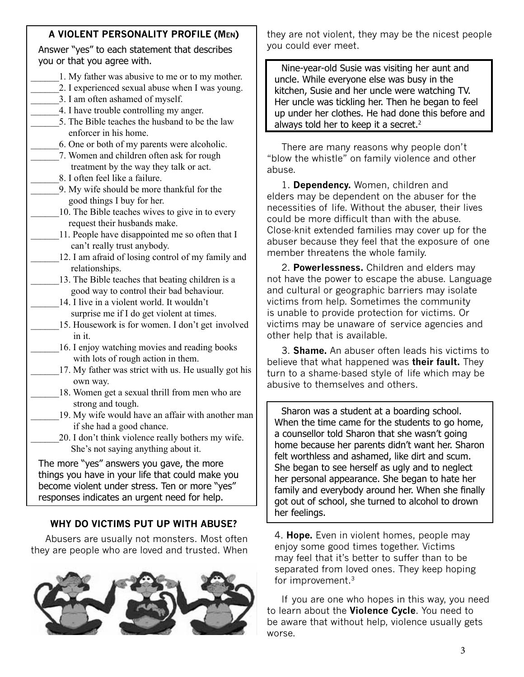# **A VIOLENT PERSONALITY PROFILE (Men)**

Answer "yes" to each statement that describes you or that you agree with.

- 1. My father was abusive to me or to my mother.
- 2. I experienced sexual abuse when I was young.
- \_\_\_\_\_\_3. I am often ashamed of myself.
- \_\_\_\_\_\_4. I have trouble controlling my anger.
- \_\_\_\_\_\_5. The Bible teaches the husband to be the law enforcer in his home.
- \_\_\_\_\_\_6. One or both of my parents were alcoholic.
- \_\_\_\_\_\_7. Women and children often ask for rough treatment by the way they talk or act.
- \_\_\_\_\_\_8. I often feel like a failure.
- \_\_\_\_\_\_9. My wife should be more thankful for the good things I buy for her.
- 10. The Bible teaches wives to give in to every request their husbands make.
	- 11. People have disappointed me so often that I can't really trust anybody.
- 12. I am afraid of losing control of my family and relationships.
- 13. The Bible teaches that beating children is a good way to control their bad behaviour.
- 14. I live in a violent world. It wouldn't surprise me if I do get violent at times.
- 15. Housework is for women. I don't get involved in it.
	- 16. I enjoy watching movies and reading books with lots of rough action in them.
	- 17. My father was strict with us. He usually got his own way.
- 18. Women get a sexual thrill from men who are strong and tough.
- 19. My wife would have an affair with another man if she had a good chance.
- 20. I don't think violence really bothers my wife. She's not saying anything about it.

The more "yes" answers you gave, the more things you have in your life that could make you become violent under stress. Ten or more "yes" responses indicates an urgent need for help.

# **WHY DO VICTIMS PUT UP WITH ABUSE?**

Abusers are usually not monsters. Most often they are people who are loved and trusted. When



they are not violent, they may be the nicest people you could ever meet.

Nine-year-old Susie was visiting her aunt and uncle. While everyone else was busy in the kitchen, Susie and her uncle were watching TV. Her uncle was tickling her. Then he began to feel up under her clothes. He had done this before and always told her to keep it a secret.<sup>2</sup>

There are many reasons why people don't "blow the whistle" on family violence and other abuse.

1. **Dependency.** Women, children and elders may be dependent on the abuser for the necessities of life. Without the abuser, their lives could be more difficult than with the abuse. Close-knit extended families may cover up for the abuser because they feel that the exposure of one member threatens the whole family.

2. **Powerlessness.** Children and elders may not have the power to escape the abuse. Language and cultural or geographic barriers may isolate victims from help. Sometimes the community is unable to provide protection for victims. Or victims may be unaware of service agencies and other help that is available.

3. **Shame.** An abuser often leads his victims to believe that what happened was **their fault.** They turn to a shame-based style of life which may be abusive to themselves and others.

Sharon was a student at a boarding school. When the time came for the students to go home, a counsellor told Sharon that she wasn't going home because her parents didn't want her. Sharon felt worthless and ashamed, like dirt and scum. She began to see herself as ugly and to neglect her personal appearance. She began to hate her family and everybody around her. When she finally got out of school, she turned to alcohol to drown her feelings.

4. **Hope.** Even in violent homes, people may enjoy some good times together. Victims may feel that it's better to suffer than to be separated from loved ones. They keep hoping for improvement.3

If you are one who hopes in this way, you need to learn about the **Violence Cycle**. You need to be aware that without help, violence usually gets worse.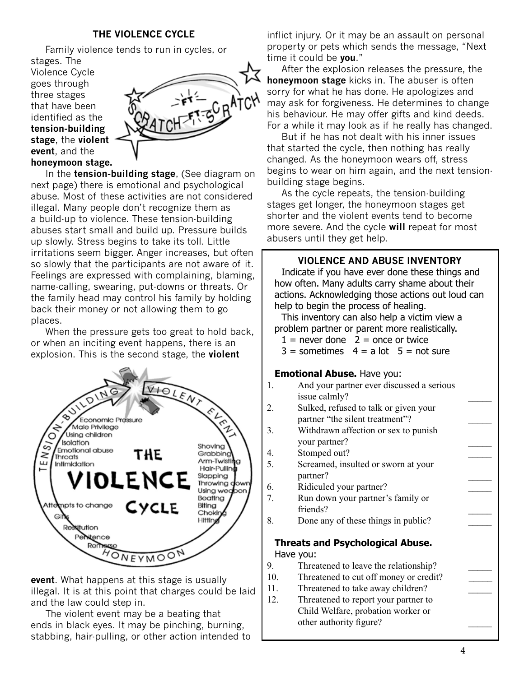#### **THE VIOLENCE CYCLE**

Family violence tends to run in cycles, or

stages. The Violence Cycle goes through three stages that have been identified as the **tension-building stage**, the **violent event**, and the **honeymoon stage.**



In the **tension-building stage**, (See diagram on next page) there is emotional and psychological abuse. Most of these activities are not considered illegal. Many people don't recognize them as a build-up to violence. These tension-building abuses start small and build up. Pressure builds up slowly. Stress begins to take its toll. Little irritations seem bigger. Anger increases, but often so slowly that the participants are not aware of it. Feelings are expressed with complaining, blaming, name-calling, swearing, put-downs or threats. Or the family head may control his family by holding back their money or not allowing them to go places.

When the pressure gets too great to hold back, or when an inciting event happens, there is an explosion. This is the second stage, the **violent** 



**event**. What happens at this stage is usually illegal. It is at this point that charges could be laid and the law could step in.

The violent event may be a beating that ends in black eyes. It may be pinching, burning, stabbing, hair-pulling, or other action intended to

inflict injury. Or it may be an assault on personal property or pets which sends the message, "Next time it could be **you**."

 After the explosion releases the pressure, the **honeymoon stage** kicks in. The abuser is often sorry for what he has done. He apologizes and may ask for forgiveness. He determines to change his behaviour. He may offer gifts and kind deeds. For a while it may look as if he really has changed.

But if he has not dealt with his inner issues that started the cycle, then nothing has really changed. As the honeymoon wears off, stress begins to wear on him again, and the next tensionbuilding stage begins.

As the cycle repeats, the tension-building stages get longer, the honeymoon stages get shorter and the violent events tend to become more severe. And the cycle **will** repeat for most abusers until they get help.

#### **VIOLENCE AND ABUSE INVENTORY**

Indicate if you have ever done these things and how often. Many adults carry shame about their actions. Acknowledging those actions out loud can help to begin the process of healing.

This inventory can also help a victim view a problem partner or parent more realistically.

- $1 =$  never done  $2 =$  once or twice
- $3 =$  sometimes  $4 =$  a lot  $5 =$  not sure

#### **Emotional Abuse.** Have you:

- 1. And your partner ever discussed a serious issue calmly?
- 2. Sulked, refused to talk or given your partner "the silent treatment"?
- 3. Withdrawn affection or sex to punish your partner? \_\_\_\_\_
- 4. Stomped out?
- 5. Screamed, insulted or sworn at your partner? \_\_\_\_\_
- 6. Ridiculed your partner?
- 7. Run down your partner's family or friends?
- 8. Done any of these things in public?

#### **Threats and Psychological Abuse.** Have you:

- 9. Threatened to leave the relationship? \_\_\_\_\_
- 10. Threatened to cut off money or credit?
- 11. Threatened to take away children?
- 12. Threatened to report your partner to Child Welfare, probation worker or other authority figure?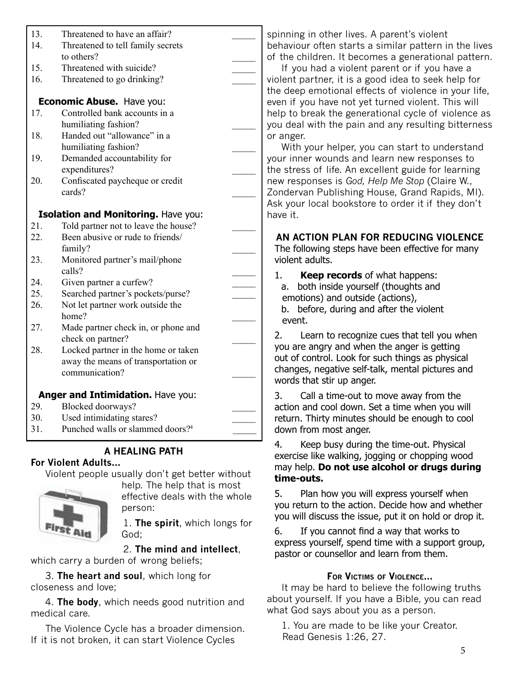| 13.                               | Threatened to have an affair?                |  |
|-----------------------------------|----------------------------------------------|--|
| 14.                               | Threatened to tell family secrets            |  |
|                                   | to others?                                   |  |
| 15.                               | Threatened with suicide?                     |  |
| 16.                               | Threatened to go drinking?                   |  |
|                                   |                                              |  |
|                                   | Economic Abuse. Have you:                    |  |
| 17.                               | Controlled bank accounts in a                |  |
|                                   | humiliating fashion?                         |  |
| 18.                               | Handed out "allowance" in a                  |  |
|                                   | humiliating fashion?                         |  |
| 19.                               | Demanded accountability for                  |  |
|                                   | expenditures?                                |  |
| 20.                               | Confiscated paycheque or credit              |  |
|                                   | cards?                                       |  |
|                                   |                                              |  |
|                                   | Isolation and Monitoring. Have you:          |  |
| 21.                               | Told partner not to leave the house?         |  |
| 22.                               | Been abusive or rude to friends/<br>family?  |  |
| 23.                               | Monitored partner's mail/phone               |  |
|                                   | calls?                                       |  |
| 24.                               | Given partner a curfew?                      |  |
| 25.                               | Searched partner's pockets/purse?            |  |
| 26.                               | Not let partner work outside the             |  |
|                                   | home?                                        |  |
| 27.                               | Made partner check in, or phone and          |  |
|                                   | check on partner?                            |  |
| 28                                | Locked partner in the home or taken          |  |
|                                   | away the means of transportation or          |  |
|                                   | communication?                               |  |
|                                   |                                              |  |
| Anger and Intimidation. Have you: |                                              |  |
| 29.                               | Blocked doorways?                            |  |
| 30.                               | Used intimidating stares?                    |  |
| 31.                               | Punched walls or slammed doors? <sup>4</sup> |  |
|                                   |                                              |  |

# **A HEALING PATH**

#### **For Violent Adults...**

Violent people usually don't get better without



help. The help that is most effective deals with the whole person:

1. **The spirit**, which longs for God;

# 2. **The mind and intellect**,

which carry a burden of wrong beliefs;

3. **The heart and soul**, which long for closeness and love;

4. **The body**, which needs good nutrition and medical care.

The Violence Cycle has a broader dimension. If it is not broken, it can start Violence Cycles

spinning in other lives. A parent's violent behaviour often starts a similar pattern in the lives of the children. It becomes a generational pattern.

If you had a violent parent or if you have a violent partner, it is a good idea to seek help for the deep emotional effects of violence in your life, even if you have not yet turned violent. This will help to break the generational cycle of violence as you deal with the pain and any resulting bitterness or anger.

With your helper, you can start to understand your inner wounds and learn new responses to the stress of life. An excellent guide for learning new responses is *God, Help Me Stop* (Claire W., Zondervan Publishing House, Grand Rapids, MI). Ask your local bookstore to order it if they don't have it.

**AN ACTION PLAN FOR REDUCING VIOLENCE**

The following steps have been effective for many violent adults.

1. **Keep records** of what happens: a. both inside yourself (thoughts and emotions) and outside (actions), b. before, during and after the violent event.

2. Learn to recognize cues that tell you when you are angry and when the anger is getting out of control. Look for such things as physical changes, negative self-talk, mental pictures and words that stir up anger.

3. Call a time-out to move away from the action and cool down. Set a time when you will return. Thirty minutes should be enough to cool down from most anger.

4. Keep busy during the time-out. Physical exercise like walking, jogging or chopping wood may help. **Do not use alcohol or drugs during time-outs.**

5. Plan how you will express yourself when you return to the action. Decide how and whether you will discuss the issue, put it on hold or drop it.

6. If you cannot find a way that works to express yourself, spend time with a support group, pastor or counsellor and learn from them.

# **For Victims of Violence...**

It may be hard to believe the following truths about yourself. If you have a Bible, you can read what God says about you as a person.

1. You are made to be like your Creator. Read Genesis 1:26, 27.